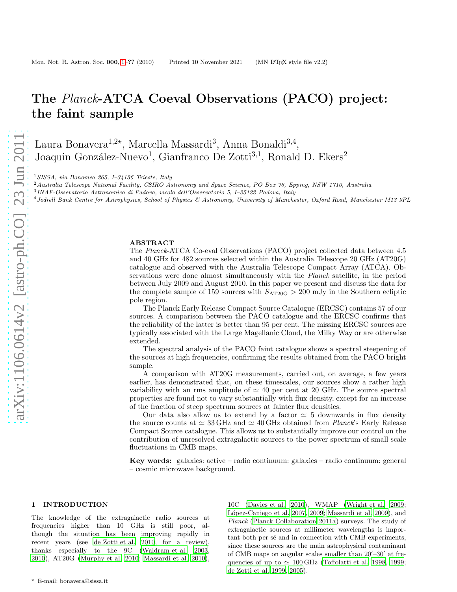# The Planck-ATCA Coeval Observations (PACO) project: the faint sample

Laura Bonavera<sup>1,2\*</sup>, Marcella Massardi<sup>3</sup>, Anna Bonaldi<sup>3,4</sup>, Joaquin González-Nuevo<sup>1</sup>, Gianfranco De Zotti<sup>3,1</sup>, Ronald D. Ekers<sup>2</sup>

<sup>1</sup>SISSA, via Bonomea 265, I–34136 Trieste, Italy

<sup>2</sup> Australia Telescope National Facility, CSIRO Astronomy and Space Science, PO Box 76, Epping, NSW 1710, Australia

3 INAF-Ossevatorio Astronomico di Padova, vicolo dell'Osservatorio 5, I–35122 Padova, Italy

<sup>4</sup>Jodrell Bank Centre for Astrophysics, School of Physics & Astronomy, University of Manchester, Oxford Road, Manchester M13 9PL

## ABSTRACT

The Planck-ATCA Co-eval Observations (PACO) project collected data between 4.5 and 40 GHz for 482 sources selected within the Australia Telescope 20 GHz (AT20G) catalogue and observed with the Australia Telescope Compact Array (ATCA). Observations were done almost simultaneously with the Planck satellite, in the period between July 2009 and August 2010. In this paper we present and discuss the data for the complete sample of 159 sources with  $S_{\text{AT20G}} > 200$  mJy in the Southern ecliptic pole region.

The Planck Early Release Compact Source Catalogue (ERCSC) contains 57 of our sources. A comparison between the PACO catalogue and the ERCSC confirms that the reliability of the latter is better than 95 per cent. The missing ERCSC sources are typically associated with the Large Magellanic Cloud, the Milky Way or are otherwise extended.

The spectral analysis of the PACO faint catalogue shows a spectral steepening of the sources at high frequencies, confirming the results obtained from the PACO bright sample.

A comparison with AT20G measurements, carried out, on average, a few years earlier, has demonstrated that, on these timescales, our sources show a rather high variability with an rms amplitude of  $\simeq$  40 per cent at 20 GHz. The source spectral properties are found not to vary substantially with flux density, except for an increase of the fraction of steep spectrum sources at fainter flux densities.

Our data also allow us to extend by a factor  $\simeq$  5 downwards in flux density the source counts at  $\simeq 33 \text{ GHz}$  and  $\simeq 40 \text{ GHz}$  obtained from *Planck*'s Early Release Compact Source catalogue. This allows us to substantially improve our control on the contribution of unresolved extragalactic sources to the power spectrum of small scale fluctuations in CMB maps.

Key words: galaxies: active – radio continuum: galaxies – radio continuum: general – cosmic microwave background.

# 1 INTRODUCTION

The knowledge of the extragalactic radio sources at frequencies higher than 10 GHz is still poor, although the situation has been improving rapidly in recent years (see [de Zotti et al. 2010](#page-8-0), for a review), thanks especially to the 9C [\(Waldram et al. 2003,](#page-8-1) [2010](#page-8-2)), AT20G [\(Murphy et al. 2010;](#page-8-3) [Massardi et al. 2010](#page-8-4)),

10C [\(Davies et al. 2010](#page-8-5)), WMAP [\(Wright et al. 2009](#page-8-6); López-Caniego et al. 2007, [2009](#page-8-8); [Massardi et al. 2009](#page-8-9)), and Planck [\(Planck Collaboration 2011a](#page-8-10)) surveys. The study of extragalactic sources at millimeter wavelengths is important both per sé and in connection with CMB experiments, since these sources are the main astrophysical contaminant of CMB maps on angular scales smaller than 20′ –30′ at frequencies of up to  $\simeq 100 \text{ GHz}$  [\(Toffolatti et al. 1998](#page-8-11), [1999](#page-8-12); [de Zotti et al. 1999](#page-8-13), [2005](#page-8-14)).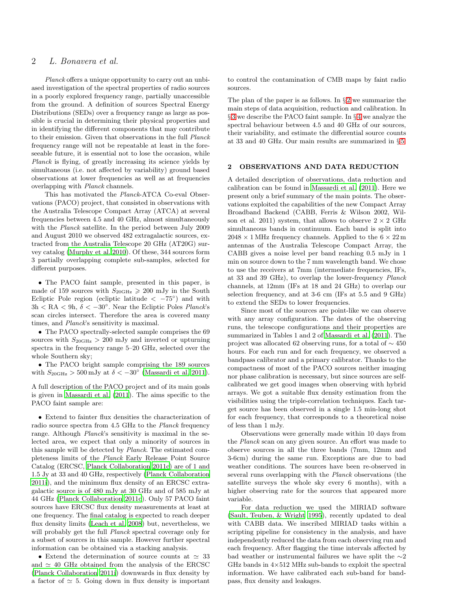# 2 L. Bonavera et al.

Planck offers a unique opportunity to carry out an unbiased investigation of the spectral properties of radio sources in a poorly explored frequency range, partially unaccessible from the ground. A definition of sources Spectral Energy Distributions (SEDs) over a frequency range as large as possible is crucial in determining their physical properties and in identifying the different components that may contribute to their emission. Given that observations in the full Planck frequency range will not be repeatable at least in the foreseeable future, it is essential not to lose the occasion, while Planck is flying, of greatly increasing its science yields by simultaneous (i.e. not affected by variability) ground based observations at lower frequencies as well as at frequencies overlapping with Planck channels.

This has motivated the Planck-ATCA Co-eval Observations (PACO) project, that consisted in observations with the Australia Telescope Compact Array (ATCA) at several frequencies between 4.5 and 40 GHz, almost simultaneously with the *Planck* satellite. In the period between July 2009 and August 2010 we observed 482 extragalactic sources, extracted from the Australia Telescope 20 GHz (AT20G) survey catalog [\(Murphy et al. 2010\)](#page-8-3). Of these, 344 sources form 3 partially overlapping complete sub-samples, selected for different purposes.

• The PACO faint sample, presented in this paper, is made of 159 sources with  $S_{20\text{GHz}} \geq 200$  mJy in the South Ecliptic Pole region (ecliptic latitude  $\langle -75^{\circ} \rangle$  and with  $3h < RA < 9h, \delta < -30^{\circ}$ . Near the Ecliptic Poles *Planck*'s scan circles intersect. Therefore the area is covered many times, and *Planck*'s sensitivity is maximal.

• The PACO spectrally-selected sample comprises the 69 sources with  $S_{20\text{GHz}} > 200 \text{ mJy}$  and inverted or upturning spectra in the frequency range 5–20 GHz, selected over the whole Southern sky;

• The PACO bright sample comprising the 189 sources with  $S_{20\text{GHz}} > 500 \text{ mJy}$  at  $\delta < -30^{\circ}$  [\(Massardi et al. 2011](#page-8-15)).

A full description of the PACO project and of its main goals is given in [Massardi et al. \(2011\)](#page-8-15). The aims specific to the PACO faint sample are:

• Extend to fainter flux densities the characterization of radio source spectra from 4.5 GHz to the Planck frequency range. Although *Planck*'s sensitivity is maximal in the selected area, we expect that only a minority of sources in this sample will be detected by Planck. The estimated completeness limits of the Planck Early Release Point Source Catalog (ERCSC, [Planck Collaboration 2011c](#page-8-16)) are of 1 and 1.5 Jy at 33 and 40 GHz, respectively [\(Planck Collaboration](#page-8-17) [2011i](#page-8-17)), and the minimum flux density of an ERCSC extragalactic source is of 480 mJy at 30 GHz and of 585 mJy at 44 GHz [\(Planck Collaboration 2011c\)](#page-8-16). Only 57 PACO faint sources have ERCSC flux density measurements at least at one frequency. The final catalog is expected to reach deeper flux density limits [\(Leach et al. 2008](#page-8-18)) but, nevertheless, we will probably get the full *Planck* spectral coverage only for a subset of sources in this sample. However further spectral information can be obtained via a stacking analysis.

• Extend the determination of source counts at  $\simeq 33$ and  $\simeq$  40 GHz obtained from the analysis of the ERCSC [\(Planck Collaboration 2011i](#page-8-17)) downwards in flux density by a factor of  $\simeq$  5. Going down in flux density is important

to control the contamination of CMB maps by faint radio sources.

The plan of the paper is as follows. In  $\S 2$  $\S 2$  we summarize the main steps of data acquisition, reduction and calibration. In § [3](#page-2-0) we describe the PACO faint sample. In § [4](#page-3-0) we analyze the spectral behaviour between 4.5 and 40 GHz of our sources, their variability, and estimate the differential source counts at 33 and 40 GHz. Our main results are summarized in § [5.](#page-7-0)

#### <span id="page-1-0"></span>2 OBSERVATIONS AND DATA REDUCTION

A detailed description of observations, data reduction and calibration can be found in [Massardi et al. \(2011](#page-8-15)). Here we present only a brief summary of the main points. The observations exploited the capabilities of the new Compact Array Broadband Backend (CABB, Ferris & Wilson 2002, Wilson et al. 2011) system, that allows to observe  $2 \times 2$  GHz simultaneous bands in continuum. Each band is split into  $2048 \times 1$  MHz frequency channels. Applied to the  $6 \times 22$  m antennas of the Australia Telescope Compact Array, the CABB gives a noise level per band reaching 0.5 mJy in 1 min on source down to the 7 mm wavelength band. We chose to use the receivers at 7mm (intermediate frequencies, IFs, at 33 and 39 GHz), to overlap the lower-frequency Planck channels, at 12mm (IFs at 18 and 24 GHz) to overlap our selection frequency, and at 3-6 cm (IFs at 5.5 and 9 GHz) to extend the SEDs to lower frequencies.

Since most of the sources are point-like we can observe with any array configuration. The dates of the observing runs, the telescope configurations and their properties are summarized in Tables 1 and 2 of [Massardi et al. \(2011\)](#page-8-15). The project was allocated 62 observing runs, for a total of ∼ 450 hours. For each run and for each frequency, we observed a bandpass calibrator and a primary calibrator. Thanks to the compactness of most of the PACO sources neither imaging nor phase calibration is necessary, but since sources are selfcalibrated we get good images when observing with hybrid arrays. We got a suitable flux density estimation from the visibilities using the triple-correlation techniques. Each target source has been observed in a single 1.5 min-long shot for each frequency, that corresponds to a theoretical noise of less than 1 mJy.

Observations were generally made within 10 days from the Planck scan on any given source. An effort was made to observe sources in all the three bands (7mm, 12mm and 3-6cm) during the same run. Exceptions are due to bad weather conditions. The sources have been re-observed in several runs overlapping with the Planck observations (the satellite surveys the whole sky every 6 months), with a higher observing rate for the sources that appeared more variable.

For data reduction we used the MIRIAD software [\(Sault, Teuben, & Wright 1995](#page-8-19)), recently updated to deal with CABB data. We inscribed MIRIAD tasks within a scripting pipeline for consistency in the analysis, and have independently reduced the data from each observing run and each frequency. After flagging the time intervals affected by bad weather or instrumental failures we have split the ∼2 GHz bands in  $4\times512$  MHz sub-bands to exploit the spectral information. We have calibrated each sub-band for bandpass, flux density and leakages.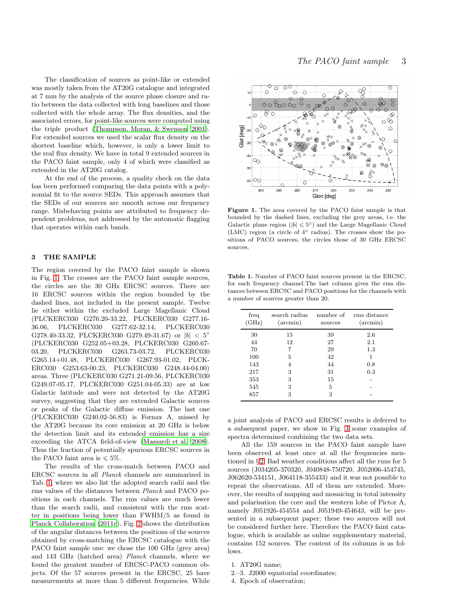The classification of sources as point-like or extended was mostly taken from the AT20G catalogue and integrated at 7 mm by the analysis of the source phase closure and ratio between the data collected with long baselines and those collected with the whole array. The flux densities, and the associated errors, for point-like sources were computed using the triple product [\(Thompson, Moran, & Swenson 2001](#page-8-20)). For extended sources we used the scalar flux density on the shortest baseline which, however, is only a lower limit to the real flux density. We have in total 9 extended sources in the PACO faint sample, only 4 of which were classified as extended in the AT20G catalog.

At the end of the process, a quality check on the data has been performed comparing the data points with a polynomial fit to the source SEDs. This approach assumes that the SEDs of our sources are smooth across our frequency range. Misbehaving points are attributed to frequency dependent problems, not addressed by the automatic flagging that operates within each bands.

#### <span id="page-2-0"></span>3 THE SAMPLE

The region covered by the PACO faint sample is shown in Fig. [1.](#page-2-1) The crosses are the PACO faint sample sources, the circles are the 30 GHz ERCSC sources. There are 16 ERCSC sources within the region bounded by the dashed lines, not included in the present sample. Twelve lie either within the excluded Large Magellanic Cloud (PLCKERC030 G276.20-33.22, PLCKERC030 G277.16- 36.06, PLCKERC030 G277.62-32.14, PLCKERC030 G278.40-33.32, PLCKERC030 G279.49-31.67) or  $|b| < 5^{\circ}$ (PLCKERC030 G252.05+03.28, PLCKERC030 G260.67- 03.20, PLCKERC030 G263.73-03.72, PLCKERC030 G265.14+01.48, PLCKERC030 G267.93-01.02, PLCK-ERC030 G253.63-00.23, PLCKERC030 G248.44-04.00) areas. Three (PLCKERC030 G271.21-09.56, PLCKERC030 G249.07-05.17, PLCKERC030 G251.04-05.33) are at low Galactic latitude and were not detected by the AT20G survey, suggesting that they are extended Galactic sources or peaks of the Galactic diffuse emission. The last one (PLCKERC030 G240.02-56.83) is Fornax A, missed by the AT20G because its core emission at 20 GHz is below the detection limit and its extended emission has a size exceeding the ATCA field-of-view [\(Massardi et al. 2008](#page-8-21)). Thus the fraction of potentially spurious ERCSC sources in the PACO faint area is  $\leq 5\%$ .

The results of the cross-match between PACO and ERCSC sources in all Planck channels are summarized in Tab. [1,](#page-2-2) where we also list the adopted search radii and the rms values of the distances between Planck and PACO positions in each channels. The rms values are much lower than the search radii, and consistent with the rms scatter in positions being lower than FWHM/5 as found in [Planck Collaboration \(2011c](#page-8-16)). Fig. [2](#page-3-1) shows the distribution of the angular distances between the positions of the sources obtained by cross-matching the ERCSC catalogue with the PACO faint sample one: we chose the 100 GHz (grey area) and 143 GHz (hatched area) Planck channels, where we found the greatest number of ERCSC-PACO common objects. Of the 57 sources present in the ERCSC, 25 have measurements at more than 5 different frequencies. While



<span id="page-2-1"></span>Figure 1. The area covered by the PACO faint sample is that bounded by the dashed lines, excluding the grey areas, i.e. the Galactic plane region ( $|b| \leq 5^{\circ}$ ) and the Large Magellanic Cloud (LMC) region (a circle of 4◦ radius). The crosses show the positions of PACO sources, the circles those of 30 GHz ERCSC sources.

<span id="page-2-2"></span>Table 1. Number of PACO faint sources present in the ERCSC, for each frequency channel.The last column gives the rms distances between ERCSC and PACO positions for the channels with a number of sources greater than 20.

| freq<br>(GHz) | search radius<br>$(\arcsin)$ | number of<br>sources | rms distance<br>$(\arcsin)$ |
|---------------|------------------------------|----------------------|-----------------------------|
| 30            | 15                           | 39                   | 2.6                         |
| 44            | 12                           | 27                   | 2.1                         |
| 70            | 7                            | 29                   | 1.3                         |
| 100           | 5                            | 42                   | 1                           |
| 143           | 4                            | 44                   | 0.8                         |
| 217           | 3                            | 31                   | 0.3                         |
| 353           | 3                            | 15                   |                             |
| 545           | 3                            | 5                    |                             |
| 857           | 3                            | 3                    |                             |

a joint analysis of PACO and ERCSC results is deferred to a subsequent paper, we show in Fig. [3](#page-3-2) some examples of spectra determined combining the two data sets.

All the 159 sources in the PACO faint sample have been observed at least once at all the frequencies mentioned in § [2.](#page-1-0) Bad weather conditions affect all the runs for 5 sources (J034205-370320, J040848-750720, J052006-454745, J062620-534151, J064118-355433) and it was not possible to repeat the observations. All of them are extended. Moreover, the results of mapping and mosaicing in total intensity and polarisation the core and the western lobe of Pictor A, namely J051926-454554 and J051949-454643, will be presented in a subsequent paper; these two sources will not be considered further here. Therefore the PACO faint catalogue, which is available as online supplementary material, contains 152 sources. The content of its columns is as follows.

1. AT20G name;

2.–3. J2000 equatorial coordinates;

4. Epoch of observation;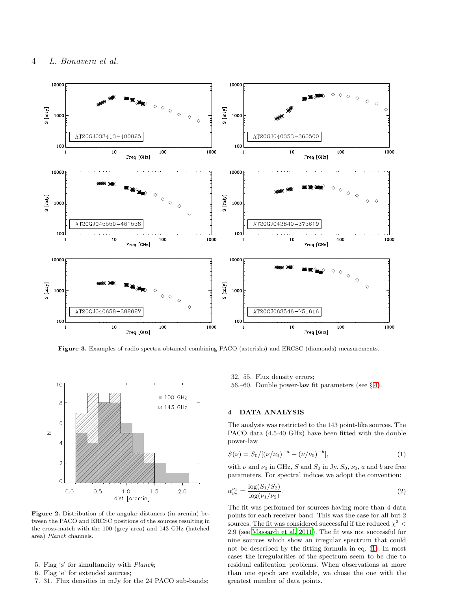

<span id="page-3-2"></span>Figure 3. Examples of radio spectra obtained combining PACO (asterisks) and ERCSC (diamonds) measurements.



<span id="page-3-1"></span>Figure 2. Distribution of the angular distances (in arcmin) between the PACO and ERCSC positions of the sources resulting in the cross-match with the 100 (grey area) and 143 GHz (hatched area) Planck channels.

- 5. Flag 's' for simultaneity with Planck;
- 6. Flag 'e' for extended sources;
- 7.–31. Flux densities in mJy for the 24 PACO sub-bands;

32.–55. Flux density errors;

56.–60. Double power-law fit parameters (see  $\S 4$ ).

#### <span id="page-3-0"></span>4 DATA ANALYSIS

The analysis was restricted to the 143 point-like sources. The PACO data (4.5-40 GHz) have been fitted with the double power-law

<span id="page-3-3"></span>
$$
S(\nu) = S_0/[(\nu/\nu_0)^{-a} + (\nu/\nu_0)^{-b}], \qquad (1)
$$

with  $\nu$  and  $\nu_0$  in GHz, S and S<sub>0</sub> in Jy. S<sub>0</sub>,  $\nu_0$ , a and b are free parameters. For spectral indices we adopt the convention:

$$
\alpha_{\nu_2}^{\nu_1} = \frac{\log(S_1/S_2)}{\log(\nu_1/\nu_2)}.
$$
\n(2)

The fit was performed for sources having more than 4 data points for each receiver band. This was the case for all but 2 sources. The fit was considered successful if the reduced  $\chi^2$  < 2.9 (see [Massardi et al. 2011\)](#page-8-15). The fit was not successful for nine sources which show an irregular spectrum that could not be described by the fitting formula in eq. [\(1\)](#page-3-3). In most cases the irregularities of the spectrum seem to be due to residual calibration problems. When observations at more than one epoch are available, we chose the one with the greatest number of data points.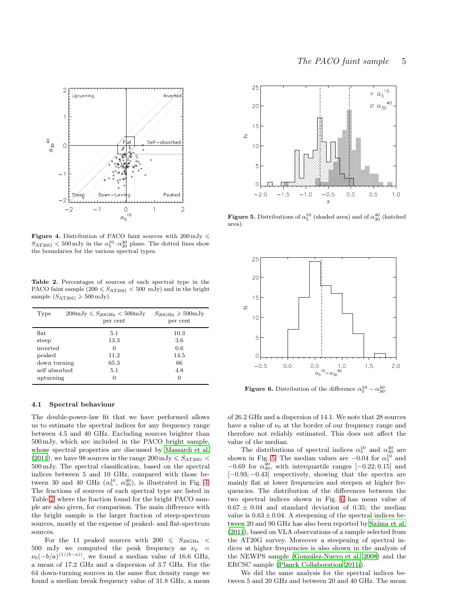

<span id="page-4-0"></span>**Figure 4.** Distribution of PACO faint sources with  $200 \text{ mJy} \leq$  $S_{\rm AT20G} < 500 \,\rm mJy$  in the  $\alpha_5^{10} - \alpha_{30}^{40}$  plane. The dotted lines show the boundaries for the various spectral types.

<span id="page-4-1"></span>Table 2. Percentages of sources of each spectral type in the PACO faint sample  $(200 \leq S_{\text{AT20G}} < 500 \text{ mJy})$  and in the bright sample  $(S_{\text{AT20G}} \geqslant 500 \,\text{mJy}).$ 

| Type          | $200 \text{mJy} \leqslant S_{20\text{GHz}} < 500 \text{mJy}$<br>per cent | $S_{20\text{GHz}} \geqslant 500 \text{mJy}$<br>per cent |
|---------------|--------------------------------------------------------------------------|---------------------------------------------------------|
| flat          | 5.1                                                                      | 10.3                                                    |
| steep         | 13.3                                                                     | 3.6                                                     |
| inverted      | 0                                                                        | 0.6                                                     |
| peaked        | 11.2                                                                     | 14.5                                                    |
| down turning  | 65.3                                                                     | 66                                                      |
| self absorbed | 5.1                                                                      | 4.8                                                     |
| upturning     | $\theta$                                                                 | 0                                                       |

#### 4.1 Spectral behaviour

The double-power-law fit that we have performed allows us to estimate the spectral indices for any frequency range between 4.5 and 40 GHz. Excluding sources brighter than 500 mJy, which are included in the PACO bright sample, whose spectral properties are discussed by [Massardi et al.](#page-8-15) [\(2011](#page-8-15)), we have 98 sources in the range  $200 \,\mathrm{mJy} \leqslant S_{\text{AT20G}}$  < 500 mJy. The spectral classification, based on the spectral indices between 5 and 10 GHz, compared with those between 30 and 40 GHz  $(\alpha_5^{10}, \alpha_{30}^{40})$ , is illustrated in Fig. [4.](#page-4-0) The fractions of sources of each spectral type are listed in Table [2,](#page-4-1) where the fraction found for the bright PACO sample are also given, for comparison. The main difference with the bright sample is the larger fraction of steep-spectrum sources, mostly at the expense of peaked- and flat-spectrum sources.

For the 11 peaked sources with 200  $\leq S_{20\text{GHz}} <$ 500 mJy we computed the peak frequency as  $\nu_p =$  $\nu_0(-b/a)^{(1/(b-a))}$ , we found a median value of 16.6 GHz, a mean of 17.2 GHz and a dispersion of 3.7 GHz. For the 64 down-turning sources in the same flux density range we found a median break frequency value of 31.8 GHz, a mean



<span id="page-4-2"></span>**Figure 5.** Distributions of  $\alpha_5^{10}$  (shaded area) and of  $\alpha_{30}^{40}$  (hatched area).



<span id="page-4-3"></span>**Figure 6.** Distribution of the difference  $\alpha_5^{10} - \alpha_{30}^{40}$ .

of 26.2 GHz and a dispersion of 14.1. We note that 28 sources have a value of  $\nu_0$  at the border of our frequency range and therefore not reliably estimated. This does not affect the value of the median.

The distributions of spectral indices  $\alpha_5^{10}$  and  $\alpha_{30}^{40}$  are shown in Fig. [5.](#page-4-2) The median values are  $-0.04$  for  $\alpha_5^{10}$  and  $-0.69$  for  $\alpha_{30}^{40}$ , with interquartile ranges [ $-0.22; 0.15$ ] and  $[-0.93; -0.43]$  respectively, showing that the spectra are mainly flat at lower frequencies and steepen at higher frequencies. The distribution of the differences between the two spectral indices shown in Fig. [6](#page-4-3) has mean value of  $0.67 \pm 0.04$  and standard deviation of 0.35; the median value is  $0.63 \pm 0.04$ . A steepening of the spectral indices between 20 and 90 GHz has also been reported by [Sajina et al.](#page-8-22) [\(2011](#page-8-22)), based on VLA observations of a sample selected from the AT20G survey. Moreover a steepening of spectral indices at higher frequencies is also shown in the analysis of the NEWPS sample (González-Nuevo et al. 2008) and the ERCSC sample [\(Planck Collaboration 2011i](#page-8-17)).

We did the same analysis for the spectral indices between 5 and 20 GHz and between 20 and 40 GHz. The mean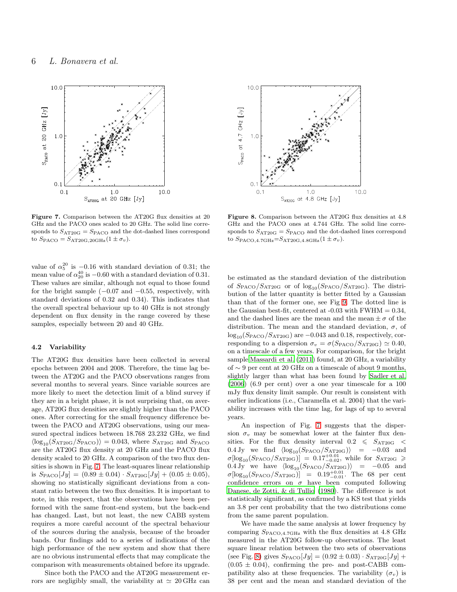

<span id="page-5-0"></span>Figure 7. Comparison between the AT20G flux densities at 20 GHz and the PACO ones scaled to 20 GHz. The solid line corresponds to  $S_{\text{AT20G}} = S_{\text{PACO}}$  and the dot-dashed lines correspond to  $S_{\text{PACO}} = S_{\text{AT20G},20\text{GHz}} (1 \pm \sigma_v)$ .

value of  $\alpha_5^{20}$  is  $-0.16$  with standard deviation of 0.31; the mean value of  $\alpha_{20}^{40}$  is  $-0.60$  with a standard deviation of 0.31. These values are similar, although not equal to those found for the bright sample  $(-0.07 \text{ and } -0.55, \text{ respectively}, \text{ with}$ standard deviations of 0.32 and 0.34). This indicates that the overall spectral behaviour up to 40 GHz is not strongly dependent on flux density in the range covered by these samples, especially between 20 and 40 GHz.

# 4.2 Variability

The AT20G flux densities have been collected in several epochs between 2004 and 2008. Therefore, the time lag between the AT20G and the PACO observations ranges from several months to several years. Since variable sources are more likely to meet the detection limit of a blind survey if they are in a bright phase, it is not surprising that, on average, AT20G flux densities are slightly higher than the PACO ones. After correcting for the small frequency difference between the PACO and AT20G observations, using our measured spectral indices between 18.768 23.232 GHz, we find  $\langle \log_{10}(S_{\text{AT20G}}/S_{\text{PACO}}) \rangle = 0.043$ , where  $S_{\text{AT20G}}$  and  $S_{\text{PACO}}$ are the AT20G flux density at 20 GHz and the PACO flux density scaled to 20 GHz. A comparison of the two flux densities is shown in Fig. [7.](#page-5-0) The least-squares linear relationship is  $S_{\text{PACO}}[Jy] = (0.89 \pm 0.04) \cdot S_{\text{AT20G}}[Jy] + (0.05 \pm 0.05),$ showing no statistically significant deviations from a constant ratio between the two flux densities. It is important to note, in this respect, that the observations have been performed with the same front-end system, but the back-end has changed. Last, but not least, the new CABB system requires a more careful account of the spectral behaviour of the sources during the analysis, because of the broader bands. Our findings add to a series of indications of the high performance of the new system and show that there are no obvious instrumental effects that may complicate the comparison with measurements obtained before its upgrade.

Since both the PACO and the AT20G measurement errors are negligibly small, the variability at  $\simeq 20 \text{ GHz}$  can



<span id="page-5-1"></span>Figure 8. Comparison between the AT20G flux densities at 4.8 GHz and the PACO ones at 4.744 GHz. The solid line corresponds to  $S_{\text{AT20G}} = S_{\text{PACO}}$  and the dot-dashed lines correspond to  $S_{\text{PACO},4.7\text{GHz}}=S_{\text{AT20G},4.8\text{GHz}}(1 \pm \sigma_v)$ .

be estimated as the standard deviation of the distribution of  $S_{\text{PACO}}/S_{\text{AT20G}}$  or of  $\log_{10}(S_{\text{PACO}}/S_{\text{AT20G}})$ . The distribution of the latter quantity is better fitted by a Gaussian than that of the former one, see Fig [9.](#page-6-0) The dotted line is the Gaussian best-fit, centered at  $-0.03$  with FWHM  $= 0.34$ , and the dashed lines are the mean and the mean  $\pm \sigma$  of the distribution. The mean and the standard deviation,  $\sigma$ , of  $\log_{10}(S_{\text{PACO}}/S_{\text{AT20G}})$  are  $-0.043$  and 0.18, respectively, corresponding to a dispersion  $\sigma_v = \sigma(S_{\text{PACO}}/S_{\text{AT20G}}) \simeq 0.40$ , on a timescale of a few years. For comparison, for the bright sample [Massardi et al. \(2011\)](#page-8-15) found, at 20 GHz, a variability of ∼ 9 per cent at 20 GHz on a timescale of about 9 months, slightly larger than what has been found by [Sadler et al.](#page-8-24) [\(2006](#page-8-24)) (6.9 per cent) over a one year timescale for a 100 mJy flux density limit sample. Our result is consistent with earlier indications (i.e., Ciaramella et al. 2004) that the variability increases with the time lag, for lags of up to several years.

An inspection of Fig. [7](#page-5-0) suggests that the dispersion  $\sigma_v$  may be somewhat lower at the fainter flux densities. For the flux density interval  $0.2 \leq S_{AT20G}$  $0.4 \text{ Jy}$  we find  $\langle \log_{10}(S_{\text{PACO}}/S_{\text{AT20G}}) \rangle = -0.03$  and  $\sigma[\log_{10}(S_{\text{PACO}}/S_{\text{AT20G}})] = 0.17^{+0.01}_{-0.02}$ , while for  $S_{\text{AT20G}} \geq$ 0.4 Jy we have  $\langle \log_{10}(S_{\text{PACO}}/S_{\text{AT20G}}) \rangle$  = -0.05 and  $\sigma[\log_{10}(S_{\text{PACO}}/S_{\text{AT20G}})] = 0.19_{-0.01}^{+0.01}$ . The 68 per cent confidence errors on  $\sigma$  have been computed following [Danese, de Zotti, & di Tullio \(1980\)](#page-8-25). The difference is not statistically significant, as confirmed by a KS test that yields an 3.8 per cent probability that the two distributions come from the same parent population.

We have made the same analysis at lower frequency by comparing SPACO,4.7GHz with the flux densities at 4.8 GHz measured in the AT20G follow-up observations. The least square linear relation between the two sets of observations (see Fig. [8\)](#page-5-1) gives  $S_{\text{PACO}}[Jy] = (0.92 \pm 0.03) \cdot S_{\text{AT2OG}}[Jy] +$  $(0.05 \pm 0.04)$ , confirming the pre- and post-CABB compatibility also at these frequencies. The variability  $(\sigma_v)$  is 38 per cent and the mean and standard deviation of the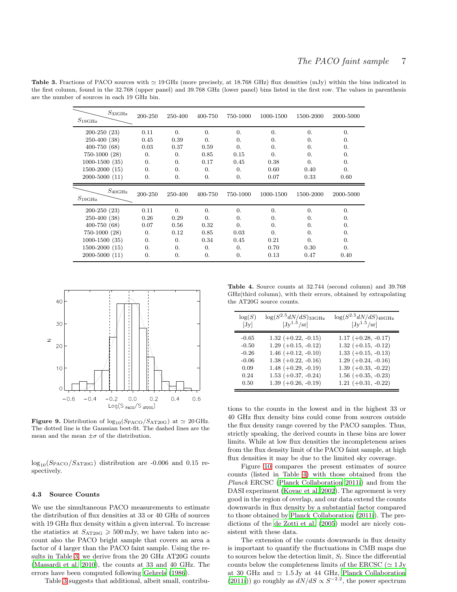Table 3. Fractions of PACO sources with  $\simeq 19 \text{ GHz}$  (more precisely, at 18.768 GHz) flux densities (mJy) within the bins indicated in the first column, found in the 32.768 (upper panel) and 39.768 GHz (lower panel) bins listed in the first row. The values in parenthesis are the number of sources in each 19 GHz bin.

<span id="page-6-1"></span>

| $S_{\rm 33 GHz}$<br>$S_{19\rm GHz}$ | 200-250    | 250-400    | 400-750    | 750-1000         | 1000-1500  | 1500-2000  | 2000-5000  |
|-------------------------------------|------------|------------|------------|------------------|------------|------------|------------|
| $200-250(23)$                       | 0.11       | $\theta$ . | $\theta$ . | $\theta$ .       | $\theta$ . | 0.         | 0.         |
| $250-400(38)$                       | 0.45       | 0.39       | $\Omega$ . | $\theta$ .       | $\Omega$ . | $\Omega$ . | 0.         |
| $400 - 750(68)$                     | 0.03       | 0.37       | 0.59       | $\theta$ .       | $\Omega$ . | $\Omega$ . | 0.         |
| $750-1000(28)$                      | $\Omega$ . | $\Omega$ . | 0.85       | 0.15             | $\Omega$ . | $\Omega$ . | 0.         |
| $1000-1500(35)$                     | 0.         | $\Omega$ . | 0.17       | 0.45             | 0.38       | 0.         | $\theta$ . |
| $1500-2000(15)$                     | 0.         | $\theta$ . | $\theta$ . | $\overline{0}$ . | 0.60       | 0.40       | 0.         |
| $2000 - 5000(11)$                   | 0.         | 0.         | 0.         | $\Omega$ .       | 0.07       | 0.33       | 0.60       |
|                                     |            |            |            |                  |            |            |            |
| $S_{\rm 40 GHz}$<br>$S_{19\rm GHz}$ | 200-250    | 250-400    | 400-750    | 750-1000         | 1000-1500  | 1500-2000  | 2000-5000  |
| $200-250(23)$                       | 0.11       | $\Omega$ . | $\Omega$ . | $\Omega$ .       | $\Omega$ . | $\Omega$ . | $\theta$ . |
| $250-400(38)$                       | 0.26       | 0.29       | $\theta$ . | $\Omega$ .       | $\Omega$ . | $\Omega$ . | $\theta$ . |
| $400 - 750(68)$                     | 0.07       | 0.56       | 0.32       | $\Omega$ .       | $\Omega$ . | $\Omega$ . | 0.         |
| $750-1000(28)$                      | 0.         | 0.12       | 0.85       | 0.03             | 0.         | $\Omega$ . | 0.         |
| $1000-1500(35)$                     | $\Omega$ . | $\Omega$ . | 0.34       | 0.45             | 0.21       | 0.         | 0.         |
| $1500-2000(15)$                     | $\Omega$ . | 0.         | $\theta$ . | $\overline{0}$ . | 0.70       | 0.30       | 0.         |



<span id="page-6-0"></span>**Figure 9.** Distribution of  $\log_{10}(S_{\text{PACO}}/S_{\text{AT20G}})$  at  $\simeq 20 \text{ GHz}$ . The dotted line is the Gaussian best-fit. The dashed lines are the mean and the mean  $\pm \sigma$  of the distribution.

 $log_{10}(S_{\text{PACO}}/S_{\text{AT20G}})$  distribution are -0.006 and 0.15 respectively.

#### 4.3 Source Counts

We use the simultaneous PACO measurements to estimate the distribution of flux densities at 33 or 40 GHz of sources with 19 GHz flux density within a given interval. To increase the statistics at  $S_{\text{AT20G}} \geqslant 500 \,\text{mJy}$ , we have taken into account also the PACO bright sample that covers an area a factor of 4 larger than the PACO faint sample. Using the results in Table [3,](#page-6-1) we derive from the 20 GHz AT20G counts [\(Massardi et al. 2010\)](#page-8-4), the counts at 33 and 40 GHz. The errors have been computed following [Gehrels \(1986](#page-8-26)).

Table [3](#page-6-1) suggests that additional, albeit small, contribu-

<span id="page-6-2"></span>Table 4. Source counts at 32.744 (second column) and 39.768 GHz(third column), with their errors, obtained by extrapolating the AT20G source counts.

| log(S)  | $log(S^{2.5}dN/dS)_{33\text{GHz}}$ | $\log(S^{2.5}dN/dS)_{\rm 40 GHz}$ |
|---------|------------------------------------|-----------------------------------|
| [Jy]    | $[Jy^{1.5}/sr]$                    | $[Jy^{1.5}/sr]$                   |
| $-0.65$ | $1.32 (+0.22, -0.15)$              | $1.17 (+0.28, -0.17)$             |
| $-0.50$ | $1.29 (+0.15, -0.12)$              | $1.32 (+0.15, -0.12)$             |
| $-0.26$ | $1.46 (+0.12, -0.10)$              | $1.33 (+0.15, -0.13)$             |
| $-0.06$ | $1.38 (+0.22, -0.16)$              | $1.29 (+0.24, -0.16)$             |
| 0.09    | $1.48 (+0.29, -0.19)$              | $1.39 (+0.33, -0.22)$             |
| 0.24    | $1.53 (+0.37, -0.24)$              | $1.56 (+0.35, -0.23)$             |
| 0.50    | $1.39 (+0.26, -0.19)$              | $1.21 (+0.31, -0.22)$             |

tions to the counts in the lowest and in the highest 33 or 40 GHz flux density bins could come from sources outside the flux density range covered by the PACO samples. Thus, strictly speaking, the derived counts in these bins are lower limits. While at low flux densities the incompleteness arises from the flux density limit of the PACO faint sample, at high flux densities it may be due to the limited sky coverage.

Figure [10](#page-7-1) compares the present estimates of source counts (listed in Table [4\)](#page-6-2) with those obtained from the Planck ERCSC [\(Planck Collaboration 2011i\)](#page-8-17) and from the DASI experiment [\(Kovac et al. 2002\)](#page-8-27). The agreement is very good in the region of overlap, and our data extend the counts downwards in flux density by a substantial factor compared to those obtained by [Planck Collaboration \(2011i](#page-8-17)). The predictions of the [de Zotti et al. \(2005](#page-8-14)) model are nicely consistent with these data.

The extension of the counts downwards in flux density is important to quantify the fluctuations in CMB maps due to sources below the detection limit,  $S<sub>l</sub>$ . Since the differential counts below the completeness limits of the ERCSC ( $\simeq 1$  Jy at 30 GHz and  $\simeq 1.5$  Jy at 44 GHz, [Planck Collaboration](#page-8-17) [\(2011i\)](#page-8-17)) go roughly as  $dN/dS \propto S^{-2.2}$ , the power spectrum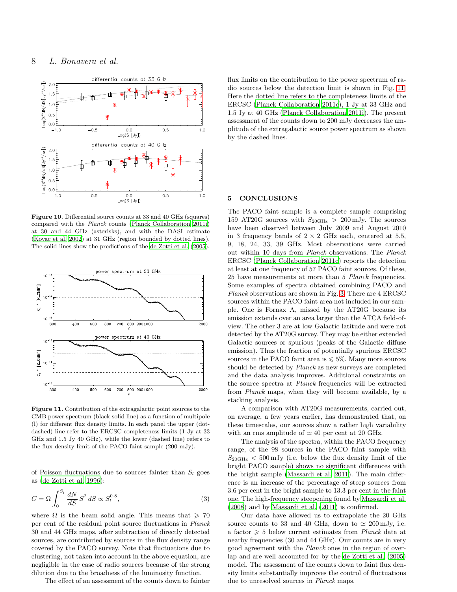

<span id="page-7-1"></span>Figure 10. Differential source counts at 33 and 40 GHz (squares) compared with the Planck counts [\(Planck Collaboration 2011i\)](#page-8-17) at 30 and 44 GHz (asterisks), and with the DASI estimate [\(Kovac et al. 2002](#page-8-27)) at 31 GHz (region bounded by dotted lines). The solid lines show the predictions of the [de Zotti et al. \(2005](#page-8-14)).



<span id="page-7-2"></span>Figure 11. Contribution of the extragalactic point sources to the CMB power spectrum (black solid line) as a function of multipole (l) for different flux density limits. In each panel the upper (dotdashed) line refer to the ERCSC completeness limits (1 Jy at 33 GHz and 1.5 Jy 40 GHz), while the lower (dashed line) refers to the flux density limit of the PACO faint sample (200 mJy).

of Poisson fluctuations due to sources fainter than  $S_l$  goes as [\(de Zotti et al. 1996](#page-8-28)):

$$
C = \Omega \int_0^{S_l} \frac{dN}{dS} S^2 dS \propto S_l^{0.8},\tag{3}
$$

where  $\Omega$  is the beam solid angle. This means that  $\geq 70$ per cent of the residual point source fluctuations in Planck 30 and 44 GHz maps, after subtraction of directly detected sources, are contributed by sources in the flux density range covered by the PACO survey. Note that fluctuations due to clustering, not taken into account in the above equation, are negligible in the case of radio sources because of the strong dilution due to the broadness of the luminosity function.

The effect of an assessment of the counts down to fainter

flux limits on the contribution to the power spectrum of radio sources below the detection limit is shown in Fig. [11.](#page-7-2) Here the dotted line refers to the completeness limits of the ERCSC [\(Planck Collaboration 2011c](#page-8-16)), 1 Jy at 33 GHz and 1.5 Jy at 40 GHz [\(Planck Collaboration 2011i\)](#page-8-17). The present assessment of the counts down to 200 mJy decreases the amplitude of the extragalactic source power spectrum as shown by the dashed lines.

# <span id="page-7-0"></span>5 CONCLUSIONS

The PACO faint sample is a complete sample comprising 159 AT20G sources with  $S_{20\text{GHz}} > 200 \text{ mJy}$ . The sources have been observed between July 2009 and August 2010 in 3 frequency bands of  $2 \times 2$  GHz each, centered at 5.5, 9, 18, 24, 33, 39 GHz. Most observations were carried out within 10 days from Planck observations. The Planck ERCSC [\(Planck Collaboration 2011c](#page-8-16)) reports the detection at least at one frequency of 57 PACO faint sources. Of these, 25 have measurements at more than 5 Planck frequencies. Some examples of spectra obtained combining PACO and Planck observations are shown in Fig. [3.](#page-3-2) There are 4 ERCSC sources within the PACO faint area not included in our sample. One is Fornax A, missed by the AT20G because its emission extends over an area larger than the ATCA field-ofview. The other 3 are at low Galactic latitude and were not detected by the AT20G survey. They may be either extended Galactic sources or spurious (peaks of the Galactic diffuse emission). Thus the fraction of potentially spurious ERCSC sources in the PACO faint area is  $\leq 5\%$ . Many more sources should be detected by Planck as new surveys are completed and the data analysis improves. Additional constraints on the source spectra at Planck frequencies will be extracted from Planck maps, when they will become available, by a stacking analysis.

A comparison with AT20G measurements, carried out, on average, a few years earlier, has demonstrated that, on these timescales, our sources show a rather high variability with an rms amplitude of  $\simeq 40$  per cent at 20 GHz.

The analysis of the spectra, within the PACO frequency range, of the 98 sources in the PACO faint sample with  $S_{20GHz} < 500 \,\mathrm{mJy}$  (i.e. below the flux density limit of the bright PACO sample) shows no significant differences with the bright sample [\(Massardi et al. 2011](#page-8-15)). The main difference is an increase of the percentage of steep sources from 3.6 per cent in the bright sample to 13.3 per cent in the faint one. The high-frequency steepening found by [Massardi et al.](#page-8-21) [\(2008](#page-8-21)) and by [Massardi et al. \(2011](#page-8-15)) is confirmed.

Our data have allowed us to extrapolate the 20 GHz source counts to 33 and 40 GHz, down to  $\simeq 200 \,\mathrm{mJy}$ , i.e. a factor  $\geq 5$  below current estimates from *Planck* data at nearby frequencies (30 and 44 GHz). Our counts are in very good agreement with the Planck ones in the region of overlap and are well accounted for by the [de Zotti et al. \(2005](#page-8-14)) model. The assessment of the counts down to faint flux density limits substantially improves the control of fluctuations due to unresolved sources in Planck maps.